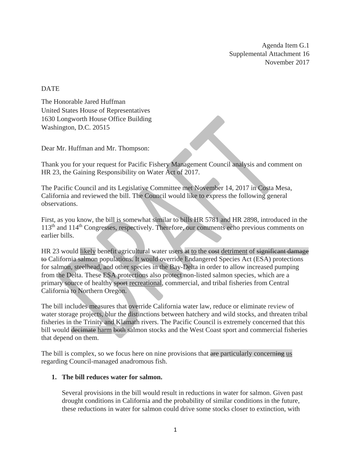Agenda Item G.1 Supplemental Attachment 16 November 2017

# DATE

The Honorable Jared Huffman United States House of Representatives 1630 Longworth House Office Building Washington, D.C. 20515

Dear Mr. Huffman and Mr. Thompson:

Thank you for your request for Pacific Fishery Management Council analysis and comment on HR 23, the Gaining Responsibility on Water Act of 2017.

The Pacific Council and its Legislative Committee met November 14, 2017 in Costa Mesa, California and reviewed the bill. The Council would like to express the following general observations.

First, as you know, the bill is somewhat similar to bills HR 5781 and HR 2898, introduced in the 113th and 114th Congresses, respectively. Therefore, our comments echo previous comments on earlier bills.

HR 23 would likely benefit agricultural water users at to the cost detriment of significant damage to California salmon populations. It would override Endangered Species Act (ESA) protections for salmon, steelhead, and other species in the Bay-Delta in order to allow increased pumping from the Delta. These ESA protections also protect non-listed salmon species, which are a primary source of healthy sport recreational, commercial, and tribal fisheries from Central California to Northern Oregon.

The bill includes measures that override California water law, reduce or eliminate review of water storage projects, blur the distinctions between hatchery and wild stocks, and threaten tribal fisheries in the Trinity and Klamath rivers. The Pacific Council is extremely concerned that this bill would decimate harm both salmon stocks and the West Coast sport and commercial fisheries that depend on them.

The bill is complex, so we focus here on nine provisions that are particularly concerning us regarding Council-managed anadromous fish.

# **1. The bill reduces water for salmon.**

Several provisions in the bill would result in reductions in water for salmon. Given past drought conditions in California and the probability of similar conditions in the future, these reductions in water for salmon could drive some stocks closer to extinction, with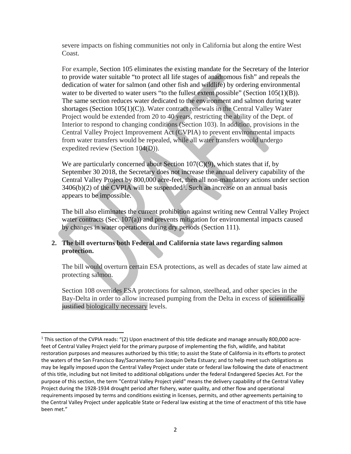severe impacts on fishing communities not only in California but along the entire West Coast.

For example, Section 105 eliminates the existing mandate for the Secretary of the Interior to provide water suitable "to protect all life stages of anadromous fish" and repeals the dedication of water for salmon (and other fish and wildlife) by ordering environmental water to be diverted to water users "to the fullest extent possible" (Section  $105(1)(B)$ ). The same section reduces water dedicated to the environment and salmon during water shortages (Section 105(1)(C)). Water contract renewals in the Central Valley Water Project would be extended from 20 to 40 years, restricting the ability of the Dept. of Interior to respond to changing conditions (Section 103). In addition, provisions in the Central Valley Project Improvement Act (CVPIA) to prevent environmental impacts from water transfers would be repealed, while all water transfers would undergo expedited review (Section 104(D)).

We are particularly concerned about Section  $107(\overline{C})(9)$ , which states that if, by September 30 2018, the Secretary does not increase the annual delivery capability of the Central Valley Project by 800,000 acre-feet, then all non-mandatory actions under section  $3406(b)(2)$  of the CVPIA will be suspended<sup>[1](#page-1-0)</sup>. Such an increase on an annual basis appears to be impossible.

The bill also eliminates the current prohibition against writing new Central Valley Project water contracts (Sec.  $107(a)$ ) and prevents mitigation for environmental impacts caused by changes in water operations during dry periods (Section 111).

# **2. The bill overturns both Federal and California state laws regarding salmon protection.**

The bill would overturn certain ESA protections, as well as decades of state law aimed at protecting salmon.

Section 108 overrides ESA protections for salmon, steelhead, and other species in the Bay-Delta in order to allow increased pumping from the Delta in excess of scientifically justified biologically necessary levels.

<span id="page-1-0"></span><sup>&</sup>lt;sup>1</sup> This section of the CVPIA reads: "(2) Upon enactment of this title dedicate and manage annually 800,000 acrefeet of Central Valley Project yield for the primary purpose of implementing the fish, wildlife, and habitat restoration purposes and measures authorized by this title; to assist the State of California in its efforts to protect the waters of the San Francisco Bay/Sacramento San Joaquin Delta Estuary; and to help meet such obligations as may be legally imposed upon the Central Valley Project under state or federal law following the date of enactment of this title, including but not limited to additional obligations under the federal Endangered Species Act. For the purpose of this section, the term "Central Valley Project yield" means the delivery capability of the Central Valley Project during the 1928-1934 drought period after fishery, water quality, and other flow and operational requirements imposed by terms and conditions existing in licenses, permits, and other agreements pertaining to the Central Valley Project under applicable State or Federal law existing at the time of enactment of this title have been met."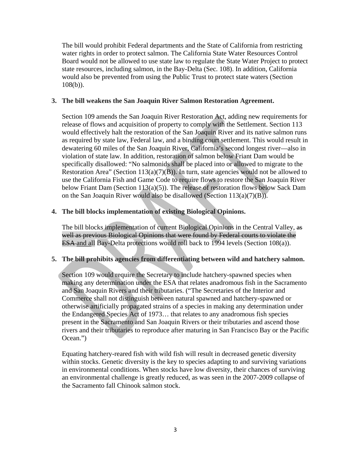The bill would prohibit Federal departments and the State of California from restricting water rights in order to protect salmon. The California State Water Resources Control Board would not be allowed to use state law to regulate the State Water Project to protect state resources, including salmon, in the Bay-Delta (Sec. 108). In addition, California would also be prevented from using the Public Trust to protect state waters (Section 108(b)).

## **3. The bill weakens the San Joaquin River Salmon Restoration Agreement.**

Section 109 amends the San Joaquin River Restoration Act, adding new requirements for release of flows and acquisition of property to comply with the Settlement. Section 113 would effectively halt the restoration of the San Joaquin River and its native salmon runs as required by state law, Federal law, and a binding court settlement. This would result in dewatering 60 miles of the San Joaquin River, California's second longest river—also in violation of state law. In addition, restoration of salmon below Friant Dam would be specifically disallowed: "No salmonids shall be placed into or allowed to migrate to the Restoration Area" (Section  $113(a)(7)(B)$ ). In turn, state agencies would not be allowed to use the California Fish and Game Code to require flows to restore the San Joaquin River below Friant Dam (Section 113(a)(5)). The release of restoration flows below Sack Dam on the San Joaquin River would also be disallowed (Section 113(a)(7)(B)).

# **4. The bill blocks implementation of existing Biological Opinions.**

The bill blocks implementation of current Biological Opinions in the Central Valley, as well as previous Biological Opinions that were found by Federal courts to violate the ESA and all Bay-Delta protections would roll back to 1994 levels (Section 108(a)).

### **5. The bill prohibits agencies from differentiating between wild and hatchery salmon.**

Section 109 would require the Secretary to include hatchery-spawned species when making any determination under the ESA that relates anadromous fish in the Sacramento and San Joaquin Rivers and their tributaries. ("The Secretaries of the Interior and Commerce shall not distinguish between natural spawned and hatchery-spawned or otherwise artificially propagated strains of a species in making any determination under the Endangered Species Act of 1973… that relates to any anadromous fish species present in the Sacramento and San Joaquin Rivers or their tributaries and ascend those rivers and their tributaries to reproduce after maturing in San Francisco Bay or the Pacific Ocean.")

Equating hatchery-reared fish with wild fish will result in decreased genetic diversity within stocks. Genetic diversity is the key to species adapting to and surviving variations in environmental conditions. When stocks have low diversity, their chances of surviving an environmental challenge is greatly reduced, as was seen in the 2007-2009 collapse of the Sacramento fall Chinook salmon stock.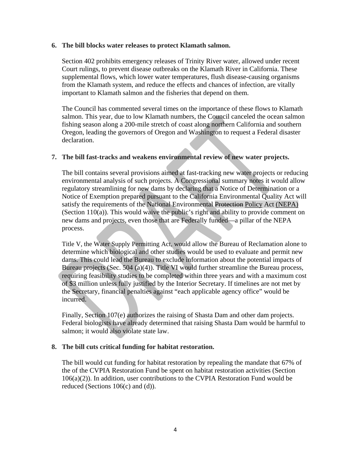#### **6. The bill blocks water releases to protect Klamath salmon.**

Section 402 prohibits emergency releases of Trinity River water, allowed under recent Court rulings, to prevent disease outbreaks on the Klamath River in California. These supplemental flows, which lower water temperatures, flush disease-causing organisms from the Klamath system, and reduce the effects and chances of infection, are vitally important to Klamath salmon and the fisheries that depend on them.

The Council has commented several times on the importance of these flows to Klamath salmon. This year, due to low Klamath numbers, the Council canceled the ocean salmon fishing season along a 200-mile stretch of coast along northern California and southern Oregon, leading the governors of Oregon and Washington to request a Federal disaster declaration.

### **7. The bill fast-tracks and weakens environmental review of new water projects.**

The bill contains several provisions aimed at fast-tracking new water projects or reducing environmental analysis of such projects. A Congressional summary notes it would allow regulatory streamlining for new dams by declaring that a Notice of Determination or a Notice of Exemption prepared pursuant to the California Environmental Quality Act will satisfy the requirements of the National Environmental Protection Policy Act (NEPA) (Section 110(a)). This would waive the public's right and ability to provide comment on new dams and projects, even those that are Federally funded—a pillar of the NEPA process.

Title V, the Water Supply Permitting Act, would allow the Bureau of Reclamation alone to determine which biological and other studies would be used to evaluate and permit new dams. This could lead the Bureau to exclude information about the potential impacts of Bureau projects (Sec. 504 (a)(4)). Title VI would further streamline the Bureau process, requiring feasibility studies to be completed within three years and with a maximum cost of \$3 million unless fully justified by the Interior Secretary. If timelines are not met by the Secretary, financial penalties against "each applicable agency office" would be incurred.

Finally, Section 107(e) authorizes the raising of Shasta Dam and other dam projects. Federal biologists have already determined that raising Shasta Dam would be harmful to salmon; it would also violate state law.

### **8. The bill cuts critical funding for habitat restoration.**

The bill would cut funding for habitat restoration by repealing the mandate that 67% of the of the CVPIA Restoration Fund be spent on habitat restoration activities (Section  $106(a)(2)$ ). In addition, user contributions to the CVPIA Restoration Fund would be reduced (Sections 106(c) and (d)).